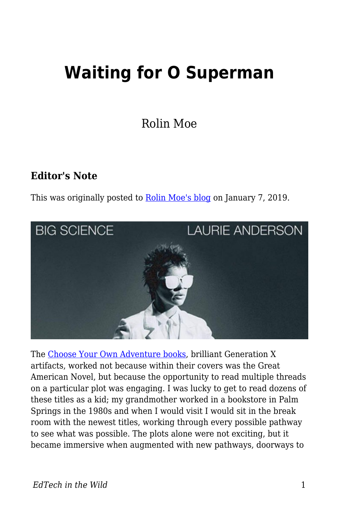## **Waiting for O Superman**

Rolin Moe

## **Editor's Note**

This was originally posted to [Rolin Moe's blog](http://edutechnicalities.com/film/waiting-for-o-superman/) on January 7, 2019.



The [Choose Your Own Adventure books](https://en.wikipedia.org/wiki/Choose_Your_Own_Adventure), brilliant Generation X artifacts, worked not because within their covers was the Great American Novel, but because the opportunity to read multiple threads on a particular plot was engaging. I was lucky to get to read dozens of these titles as a kid; my grandmother worked in a bookstore in Palm Springs in the 1980s and when I would visit I would sit in the break room with the newest titles, working through every possible pathway to see what was possible. The plots alone were not exciting, but it became immersive when augmented with new pathways, doorways to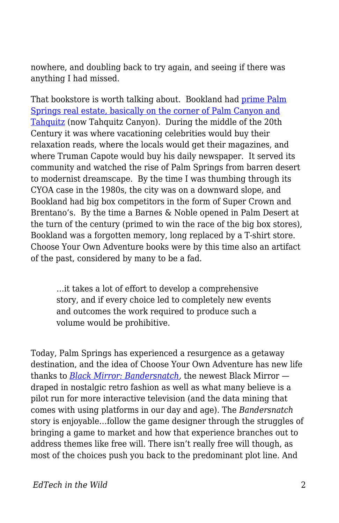nowhere, and doubling back to try again, and seeing if there was anything I had missed.

That bookstore is worth talking about. Bookland had [prime Palm](https://www.google.com/maps/place/S+Palm+Canyon+Dr+%26+E+Tahquitz+Canyon+Way,+Palm+Springs,+CA+92262/data=!4m2!3m1!1s0x80db1ba5a853f43d:0x45847921f476c668?ved=2ahUKEwjbv9TEq9zfAhXYITQIHXfjDYMQ8gEwAHoECAAQAQ) [Springs real estate, basically on the corner of Palm Canyon and](https://www.google.com/maps/place/S+Palm+Canyon+Dr+%26+E+Tahquitz+Canyon+Way,+Palm+Springs,+CA+92262/data=!4m2!3m1!1s0x80db1ba5a853f43d:0x45847921f476c668?ved=2ahUKEwjbv9TEq9zfAhXYITQIHXfjDYMQ8gEwAHoECAAQAQ) [Tahquitz](https://www.google.com/maps/place/S+Palm+Canyon+Dr+%26+E+Tahquitz+Canyon+Way,+Palm+Springs,+CA+92262/data=!4m2!3m1!1s0x80db1ba5a853f43d:0x45847921f476c668?ved=2ahUKEwjbv9TEq9zfAhXYITQIHXfjDYMQ8gEwAHoECAAQAQ) (now Tahquitz Canyon). During the middle of the 20th Century it was where vacationing celebrities would buy their relaxation reads, where the locals would get their magazines, and where Truman Capote would buy his daily newspaper. It served its community and watched the rise of Palm Springs from barren desert to modernist dreamscape. By the time I was thumbing through its CYOA case in the 1980s, the city was on a downward slope, and Bookland had big box competitors in the form of Super Crown and Brentano's. By the time a Barnes & Noble opened in Palm Desert at the turn of the century (primed to win the race of the big box stores), Bookland was a forgotten memory, long replaced by a T-shirt store. Choose Your Own Adventure books were by this time also an artifact of the past, considered by many to be a fad.

…it takes a lot of effort to develop a comprehensive story, and if every choice led to completely new events and outcomes the work required to produce such a volume would be prohibitive.

Today, Palm Springs has experienced a resurgence as a getaway destination, and the idea of Choose Your Own Adventure has new life thanks to *[Black Mirror: Bandersnatch](https://en.wikipedia.org/wiki/Black_Mirror:_Bandersnatch),* the newest Black Mirror draped in nostalgic retro fashion as well as what many believe is a pilot run for more interactive television (and the data mining that comes with using platforms in our day and age). The *Bandersnatch* story is enjoyable…follow the game designer through the struggles of bringing a game to market and how that experience branches out to address themes like free will. There isn't really free will though, as most of the choices push you back to the predominant plot line. And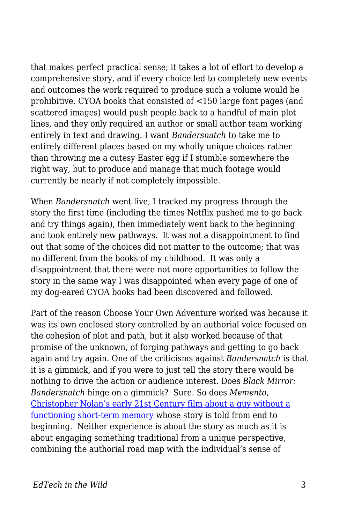that makes perfect practical sense; it takes a lot of effort to develop a comprehensive story, and if every choice led to completely new events and outcomes the work required to produce such a volume would be prohibitive. CYOA books that consisted of <150 large font pages (and scattered images) would push people back to a handful of main plot lines, and they only required an author or small author team working entirely in text and drawing. I want *Bandersnatch* to take me to entirely different places based on my wholly unique choices rather than throwing me a cutesy Easter egg if I stumble somewhere the right way, but to produce and manage that much footage would currently be nearly if not completely impossible.

When *Bandersnatch* went live, I tracked my progress through the story the first time (including the times Netflix pushed me to go back and try things again), then immediately went back to the beginning and took entirely new pathways. It was not a disappointment to find out that some of the choices did not matter to the outcome; that was no different from the books of my childhood. It was only a disappointment that there were not more opportunities to follow the story in the same way I was disappointed when every page of one of my dog-eared CYOA books had been discovered and followed.

Part of the reason Choose Your Own Adventure worked was because it was its own enclosed story controlled by an authorial voice focused on the cohesion of plot and path, but it also worked because of that promise of the unknown, of forging pathways and getting to go back again and try again. One of the criticisms against *Bandersnatch* is that it is a gimmick, and if you were to just tell the story there would be nothing to drive the action or audience interest. Does *Black Mirror: Bandersnatch* hinge on a gimmick? Sure. So does *Memento*, [Christopher Nolan's early 21st Century film about a guy without a](http://chrisnolan.wikia.com/wiki/Sammy_Jankis) [functioning short-term memory](http://chrisnolan.wikia.com/wiki/Sammy_Jankis) whose story is told from end to beginning. Neither experience is about the story as much as it is about engaging something traditional from a unique perspective, combining the authorial road map with the individual's sense of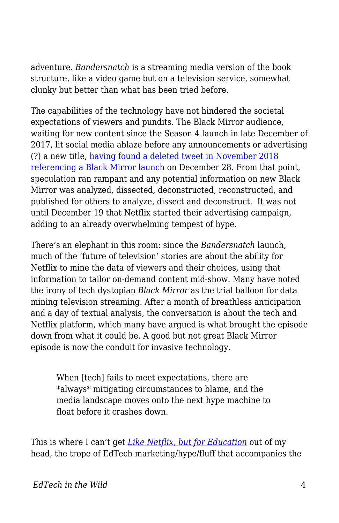adventure. *Bandersnatch* is a streaming media version of the book structure, like a video game but on a television service, somewhat clunky but better than what has been tried before.

The capabilities of the technology have not hindered the societal expectations of viewers and pundits. The Black Mirror audience, waiting for new content since the Season 4 launch in late December of 2017, lit social media ablaze before any announcements or advertising (?) a new title, [having found a deleted tweet in November 2018](https://www.indiewire.com/2018/12/black-mirror-season-5-release-leaks-fan-theory-1202024800/) [referencing a Black Mirror launch](https://www.indiewire.com/2018/12/black-mirror-season-5-release-leaks-fan-theory-1202024800/) on December 28. From that point, speculation ran rampant and any potential information on new Black Mirror was analyzed, dissected, deconstructed, reconstructed, and published for others to analyze, dissect and deconstruct. It was not until December 19 that Netflix started their advertising campaign, adding to an already overwhelming tempest of hype.

There's an elephant in this room: since the *Bandersnatch* launch, much of the 'future of television' stories are about the ability for Netflix to mine the data of viewers and their choices, using that information to tailor on-demand content mid-show. Many have noted the irony of tech dystopian *Black Mirror* as the trial balloon for data mining television streaming. After a month of breathless anticipation and a day of textual analysis, the conversation is about the tech and Netflix platform, which many have argued is what brought the episode down from what it could be. A good but not great Black Mirror episode is now the conduit for invasive technology.

When [tech] fails to meet expectations, there are \*always\* mitigating circumstances to blame, and the media landscape moves onto the next hype machine to float before it crashes down.

This is where I can't get *[Like Netflix, but for Education](https://techcrunch.com/2018/12/19/kahoot-netflix-accelerator/)* out of my head, the trope of EdTech marketing/hype/fluff that accompanies the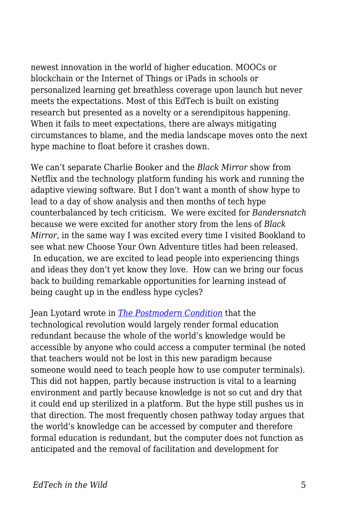newest innovation in the world of higher education. MOOCs or blockchain or the Internet of Things or iPads in schools or personalized learning get breathless coverage upon launch but never meets the expectations. Most of this EdTech is built on existing research but presented as a novelty or a serendipitous happening. When it fails to meet expectations, there are always mitigating circumstances to blame, and the media landscape moves onto the next hype machine to float before it crashes down.

We can't separate Charlie Booker and the *Black Mirror* show from Netflix and the technology platform funding his work and running the adaptive viewing software. But I don't want a month of show hype to lead to a day of show analysis and then months of tech hype counterbalanced by tech criticism. We were excited for *Bandersnatch* because we were excited for another story from the lens of *Black Mirror*, in the same way I was excited every time I visited Bookland to see what new Choose Your Own Adventure titles had been released. In education, we are excited to lead people into experiencing things and ideas they don't yet know they love. How can we bring our focus back to building remarkable opportunities for learning instead of being caught up in the endless hype cycles?

Jean Lyotard wrote in *[The Postmodern Condition](https://monoskop.org/images/e/e0/Lyotard_Jean-Francois_The_Postmodern_Condition_A_Report_on_Knowledge.pdf)* that the technological revolution would largely render formal education redundant because the whole of the world's knowledge would be accessible by anyone who could access a computer terminal (he noted that teachers would not be lost in this new paradigm because someone would need to teach people how to use computer terminals). This did not happen, partly because instruction is vital to a learning environment and partly because knowledge is not so cut and dry that it could end up sterilized in a platform. But the hype still pushes us in that direction. The most frequently chosen pathway today argues that the world's knowledge can be accessed by computer and therefore formal education is redundant, but the computer does not function as anticipated and the removal of facilitation and development for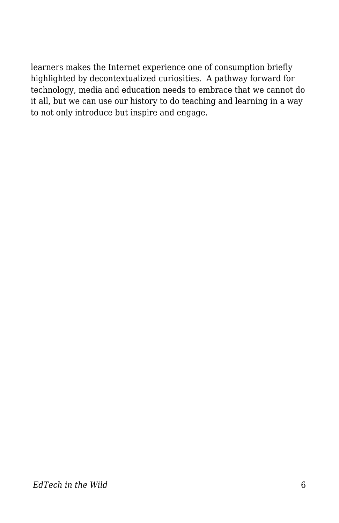learners makes the Internet experience one of consumption briefly highlighted by decontextualized curiosities. A pathway forward for technology, media and education needs to embrace that we cannot do it all, but we can use our history to do teaching and learning in a way to not only introduce but inspire and engage.